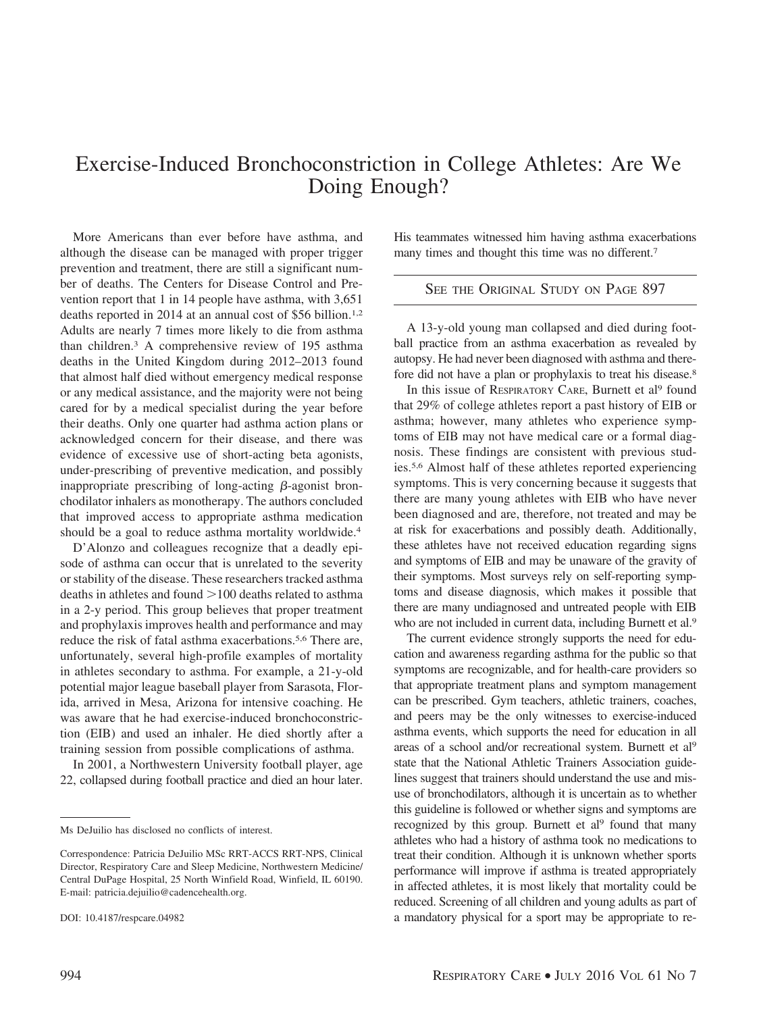## Exercise-Induced Bronchoconstriction in College Athletes: Are We Doing Enough?

More Americans than ever before have asthma, and although the disease can be managed with proper trigger prevention and treatment, there are still a significant number of deaths. The Centers for Disease Control and Prevention report that 1 in 14 people have asthma, with 3,651 deaths reported in 2014 at an annual cost of \$56 billion.<sup>1,2</sup> Adults are nearly 7 times more likely to die from asthma than children.3 A comprehensive review of 195 asthma deaths in the United Kingdom during 2012–2013 found that almost half died without emergency medical response or any medical assistance, and the majority were not being cared for by a medical specialist during the year before their deaths. Only one quarter had asthma action plans or acknowledged concern for their disease, and there was evidence of excessive use of short-acting beta agonists, under-prescribing of preventive medication, and possibly inappropriate prescribing of long-acting  $\beta$ -agonist bronchodilator inhalers as monotherapy. The authors concluded that improved access to appropriate asthma medication should be a goal to reduce asthma mortality worldwide.4

D'Alonzo and colleagues recognize that a deadly episode of asthma can occur that is unrelated to the severity or stability of the disease. These researchers tracked asthma deaths in athletes and found  $>$  100 deaths related to asthma in a 2-y period. This group believes that proper treatment and prophylaxis improves health and performance and may reduce the risk of fatal asthma exacerbations.<sup>5,6</sup> There are, unfortunately, several high-profile examples of mortality in athletes secondary to asthma. For example, a 21-y-old potential major league baseball player from Sarasota, Florida, arrived in Mesa, Arizona for intensive coaching. He was aware that he had exercise-induced bronchoconstriction (EIB) and used an inhaler. He died shortly after a training session from possible complications of asthma.

In 2001, a Northwestern University football player, age 22, collapsed during football practice and died an hour later. His teammates witnessed him having asthma exacerbations many times and thought this time was no different.7

## SEE THE ORIGINAL STUDY ON PAGE 897

A 13-y-old young man collapsed and died during football practice from an asthma exacerbation as revealed by autopsy. He had never been diagnosed with asthma and therefore did not have a plan or prophylaxis to treat his disease.<sup>8</sup>

In this issue of RESPIRATORY CARE, Burnett et al<sup>9</sup> found that 29% of college athletes report a past history of EIB or asthma; however, many athletes who experience symptoms of EIB may not have medical care or a formal diagnosis. These findings are consistent with previous studies.5,6 Almost half of these athletes reported experiencing symptoms. This is very concerning because it suggests that there are many young athletes with EIB who have never been diagnosed and are, therefore, not treated and may be at risk for exacerbations and possibly death. Additionally, these athletes have not received education regarding signs and symptoms of EIB and may be unaware of the gravity of their symptoms. Most surveys rely on self-reporting symptoms and disease diagnosis, which makes it possible that there are many undiagnosed and untreated people with EIB who are not included in current data, including Burnett et al.<sup>9</sup>

The current evidence strongly supports the need for education and awareness regarding asthma for the public so that symptoms are recognizable, and for health-care providers so that appropriate treatment plans and symptom management can be prescribed. Gym teachers, athletic trainers, coaches, and peers may be the only witnesses to exercise-induced asthma events, which supports the need for education in all areas of a school and/or recreational system. Burnett et al9 state that the National Athletic Trainers Association guidelines suggest that trainers should understand the use and misuse of bronchodilators, although it is uncertain as to whether this guideline is followed or whether signs and symptoms are recognized by this group. Burnett et al<sup>9</sup> found that many athletes who had a history of asthma took no medications to treat their condition. Although it is unknown whether sports performance will improve if asthma is treated appropriately in affected athletes, it is most likely that mortality could be reduced. Screening of all children and young adults as part of a mandatory physical for a sport may be appropriate to re-

Ms DeJuilio has disclosed no conflicts of interest.

Correspondence: Patricia DeJuilio MSc RRT-ACCS RRT-NPS, Clinical Director, Respiratory Care and Sleep Medicine, Northwestern Medicine/ Central DuPage Hospital, 25 North Winfield Road, Winfield, IL 60190. E-mail: patricia.dejuilio@cadencehealth.org.

DOI: 10.4187/respcare.04982